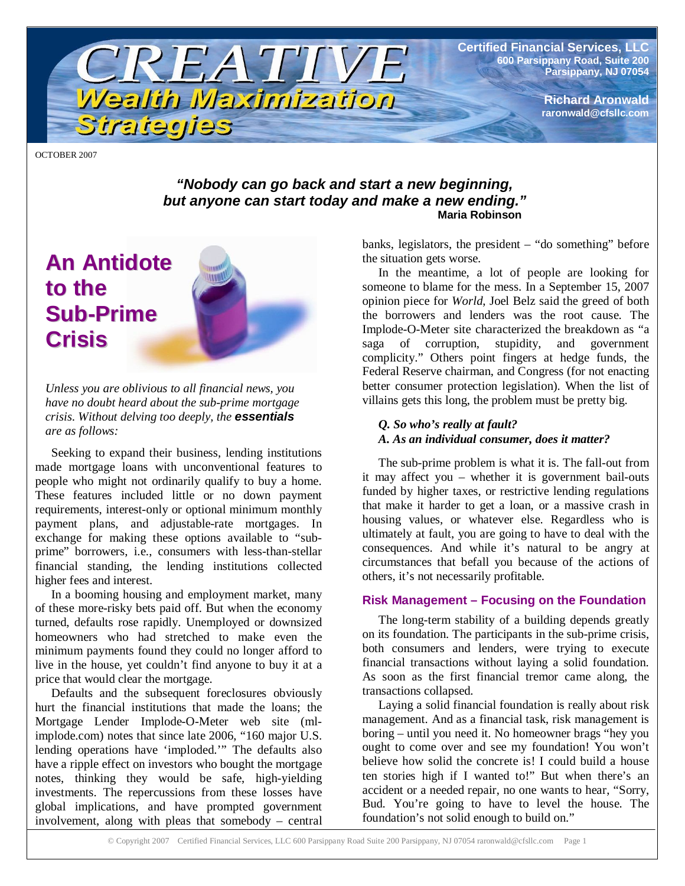**Certified Financial Services, LLC 600 Parsippany Road, Suite 200 Parsippany, NJ 07054**

> **Richard Aronwald raronwald@cfsllc.com**

OCTOBER 2007

#### *"Nobody can go back and start a new beginning, but anyone can start today and make a new ending."* **Maria Robinson**

TREATIVE

Wealth Maximization

# **An Antidote to the Sub-Prime Crisis**

*Unless you are oblivious to all financial news, you have no doubt heard about the sub-prime mortgage crisis. Without delving too deeply, the essentials are as follows:*

Strategies

Seeking to expand their business, lending institutions made mortgage loans with unconventional features to people who might not ordinarily qualify to buy a home. These features included little or no down payment requirements, interest-only or optional minimum monthly payment plans, and adjustable-rate mortgages. In exchange for making these options available to "subprime" borrowers, i.e., consumers with less-than-stellar financial standing, the lending institutions collected higher fees and interest.

In a booming housing and employment market, many of these more-risky bets paid off. But when the economy turned, defaults rose rapidly. Unemployed or downsized homeowners who had stretched to make even the minimum payments found they could no longer afford to live in the house, yet couldn't find anyone to buy it at a price that would clear the mortgage.

Defaults and the subsequent foreclosures obviously hurt the financial institutions that made the loans; the Mortgage Lender Implode-O-Meter web site (mlimplode.com) notes that since late 2006, "160 major U.S. lending operations have 'imploded.'" The defaults also have a ripple effect on investors who bought the mortgage notes, thinking they would be safe, high-yielding investments. The repercussions from these losses have global implications, and have prompted government involvement, along with pleas that somebody – central

banks, legislators, the president – "do something" before the situation gets worse.

In the meantime, a lot of people are looking for someone to blame for the mess. In a September 15, 2007 opinion piece for *World*, Joel Belz said the greed of both the borrowers and lenders was the root cause. The Implode-O-Meter site characterized the breakdown as "a saga of corruption, stupidity, and government complicity." Others point fingers at hedge funds, the Federal Reserve chairman, and Congress (for not enacting better consumer protection legislation). When the list of villains gets this long, the problem must be pretty big.

### *Q. So who's really at fault? A. As an individual consumer, does it matter?*

The sub-prime problem is what it is. The fall-out from it may affect you – whether it is government bail-outs funded by higher taxes, or restrictive lending regulations that make it harder to get a loan, or a massive crash in housing values, or whatever else. Regardless who is ultimately at fault, you are going to have to deal with the consequences. And while it's natural to be angry at circumstances that befall you because of the actions of others, it's not necessarily profitable.

#### **Risk Management – Focusing on the Foundation**

The long-term stability of a building depends greatly on its foundation. The participants in the sub-prime crisis, both consumers and lenders, were trying to execute financial transactions without laying a solid foundation. As soon as the first financial tremor came along, the transactions collapsed.

Laying a solid financial foundation is really about risk management. And as a financial task, risk management is boring – until you need it. No homeowner brags "hey you ought to come over and see my foundation! You won't believe how solid the concrete is! I could build a house ten stories high if I wanted to!" But when there's an accident or a needed repair, no one wants to hear, "Sorry, Bud. You're going to have to level the house. The foundation's not solid enough to build on."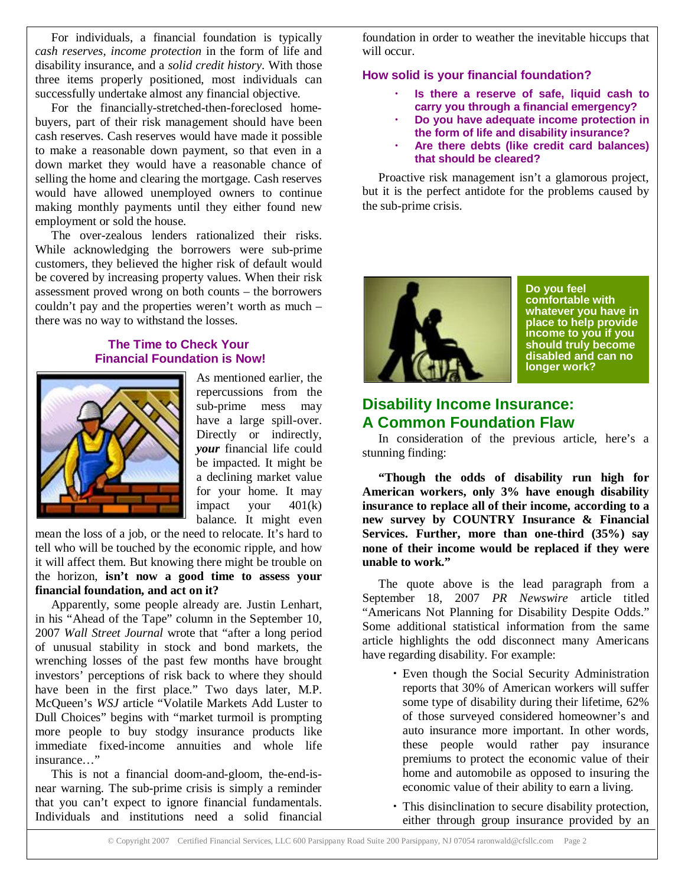For individuals, a financial foundation is typically *cash reserves, income protection* in the form of life and disability insurance, and a *solid credit history*. With those three items properly positioned, most individuals can successfully undertake almost any financial objective.

For the financially-stretched-then-foreclosed homebuyers, part of their risk management should have been cash reserves. Cash reserves would have made it possible to make a reasonable down payment, so that even in a down market they would have a reasonable chance of selling the home and clearing the mortgage. Cash reserves would have allowed unemployed owners to continue making monthly payments until they either found new employment or sold the house.

The over-zealous lenders rationalized their risks. While acknowledging the borrowers were sub-prime customers, they believed the higher risk of default would be covered by increasing property values. When their risk assessment proved wrong on both counts – the borrowers couldn't pay and the properties weren't worth as much – there was no way to withstand the losses.

#### **The Time to Check Your Financial Foundation is Now!**



As mentioned earlier, the repercussions from the sub-prime mess may have a large spill-over. Directly or indirectly, *your* financial life could be impacted. It might be a declining market value for your home. It may impact your  $401(k)$ balance. It might even

mean the loss of a job, or the need to relocate. It's hard to tell who will be touched by the economic ripple, and how it will affect them. But knowing there might be trouble on the horizon, **isn't now a good time to assess your financial foundation, and act on it?**

Apparently, some people already are. Justin Lenhart, in his "Ahead of the Tape" column in the September 10, 2007 *Wall Street Journal* wrote that "after a long period of unusual stability in stock and bond markets, the wrenching losses of the past few months have brought investors' perceptions of risk back to where they should have been in the first place." Two days later, M.P. McQueen's *WSJ* article "Volatile Markets Add Luster to Dull Choices" begins with "market turmoil is prompting more people to buy stodgy insurance products like immediate fixed-income annuities and whole life insurance "

This is not a financial doom-and-gloom, the-end-isnear warning. The sub-prime crisis is simply a reminder that you can't expect to ignore financial fundamentals. Individuals and institutions need a solid financial

foundation in order to weather the inevitable hiccups that will occur.

#### **How solid is your financial foundation?**

- **Is there a reserve of safe, liquid cash to carry you through a financial emergency?**
- **Do you have adequate income protection in the form of life and disability insurance?**
- **Are there debts (like credit card balances) that should be cleared?**

Proactive risk management isn't a glamorous project, but it is the perfect antidote for the problems caused by the sub-prime crisis.



**Do you feel comfortable with whatever you have in place to help provide income to you if you should truly become disabled and can no longer work?**

# **Disability Income Insurance: A Common Foundation Flaw**

In consideration of the previous article, here's a stunning finding:

**"Though the odds of disability run high for American workers, only 3% have enough disability insurance to replace all of their income, according to a new survey by COUNTRY Insurance & Financial Services. Further, more than one-third (35%) say none of their income would be replaced if they were unable to work."**

The quote above is the lead paragraph from a September 18, 2007 *PR Newswire* article titled "Americans Not Planning for Disability Despite Odds." Some additional statistical information from the same article highlights the odd disconnect many Americans have regarding disability. For example:

- Even though the Social Security Administration reports that 30% of American workers will suffer some type of disability during their lifetime, 62% of those surveyed considered homeowner's and auto insurance more important. In other words, these people would rather pay insurance premiums to protect the economic value of their home and automobile as opposed to insuring the economic value of their ability to earn a living.
- This disinclination to secure disability protection, either through group insurance provided by an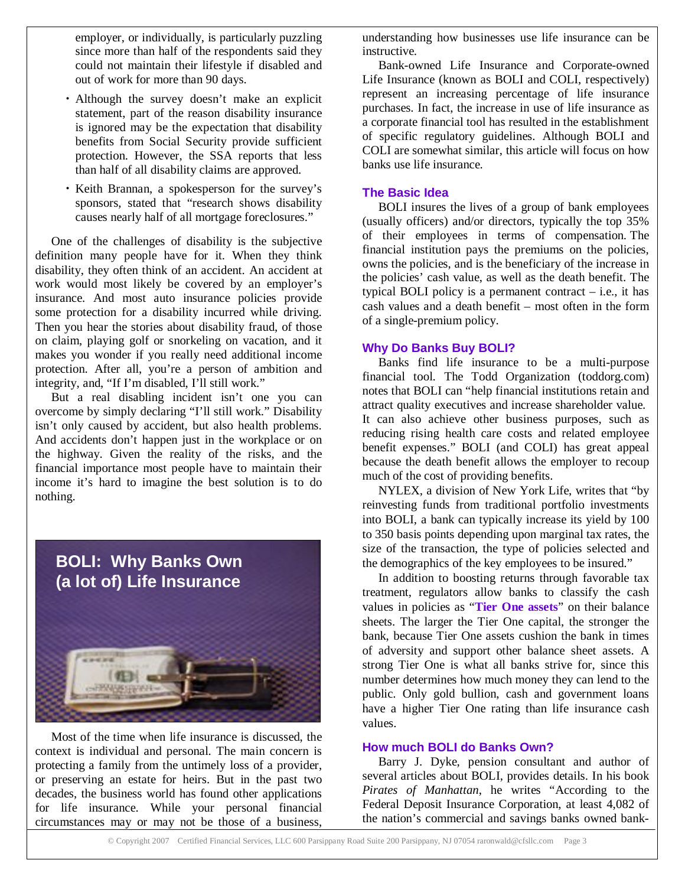employer, or individually, is particularly puzzling since more than half of the respondents said they could not maintain their lifestyle if disabled and out of work for more than 90 days.

- Although the survey doesn't make an explicit statement, part of the reason disability insurance is ignored may be the expectation that disability benefits from Social Security provide sufficient protection. However, the SSA reports that less than half of all disability claims are approved.
- Keith Brannan, a spokesperson for the survey's sponsors, stated that "research shows disability causes nearly half of all mortgage foreclosures."

One of the challenges of disability is the subjective definition many people have for it. When they think disability, they often think of an accident. An accident at work would most likely be covered by an employer's insurance. And most auto insurance policies provide some protection for a disability incurred while driving. Then you hear the stories about disability fraud, of those on claim, playing golf or snorkeling on vacation, and it makes you wonder if you really need additional income protection. After all, you're a person of ambition and integrity, and, "If I'm disabled, I'll still work."

But a real disabling incident isn't one you can overcome by simply declaring "I'll still work." Disability isn't only caused by accident, but also health problems. And accidents don't happen just in the workplace or on the highway. Given the reality of the risks, and the financial importance most people have to maintain their income it's hard to imagine the best solution is to do nothing.



Most of the time when life insurance is discussed, the context is individual and personal. The main concern is protecting a family from the untimely loss of a provider, or preserving an estate for heirs. But in the past two decades, the business world has found other applications for life insurance. While your personal financial circumstances may or may not be those of a business,

understanding how businesses use life insurance can be instructive.

Bank-owned Life Insurance and Corporate-owned Life Insurance (known as BOLI and COLI, respectively) represent an increasing percentage of life insurance purchases. In fact, the increase in use of life insurance as a corporate financial tool has resulted in the establishment of specific regulatory guidelines. Although BOLI and COLI are somewhat similar, this article will focus on how banks use life insurance.

#### **The Basic Idea**

BOLI insures the lives of a group of bank employees (usually officers) and/or directors, typically the top 35% of their employees in terms of compensation. The financial institution pays the premiums on the policies, owns the policies, and is the beneficiary of the increase in the policies' cash value, as well as the death benefit. The typical BOLI policy is a permanent contract – i.e., it has cash values and a death benefit – most often in the form of a single-premium policy.

#### **Why Do Banks Buy BOLI?**

Banks find life insurance to be a multi-purpose financial tool. The Todd Organization (toddorg.com) notes that BOLI can "help financial institutions retain and attract quality executives and increase shareholder value. It can also achieve other business purposes, such as reducing rising health care costs and related employee benefit expenses." BOLI (and COLI) has great appeal because the death benefit allows the employer to recoup much of the cost of providing benefits.

NYLEX, a division of New York Life, writes that "by reinvesting funds from traditional portfolio investments into BOLI, a bank can typically increase its yield by 100 to 350 basis points depending upon marginal tax rates, the size of the transaction, the type of policies selected and the demographics of the key employees to be insured."

In addition to boosting returns through favorable tax treatment, regulators allow banks to classify the cash values in policies as "**Tier One assets**" on their balance sheets. The larger the Tier One capital, the stronger the bank, because Tier One assets cushion the bank in times of adversity and support other balance sheet assets. A strong Tier One is what all banks strive for, since this number determines how much money they can lend to the public. Only gold bullion, cash and government loans have a higher Tier One rating than life insurance cash values.

#### **How much BOLI do Banks Own?**

Barry J. Dyke, pension consultant and author of several articles about BOLI, provides details. In his book *Pirates of Manhattan*, he writes "According to the Federal Deposit Insurance Corporation, at least 4,082 of the nation's commercial and savings banks owned bank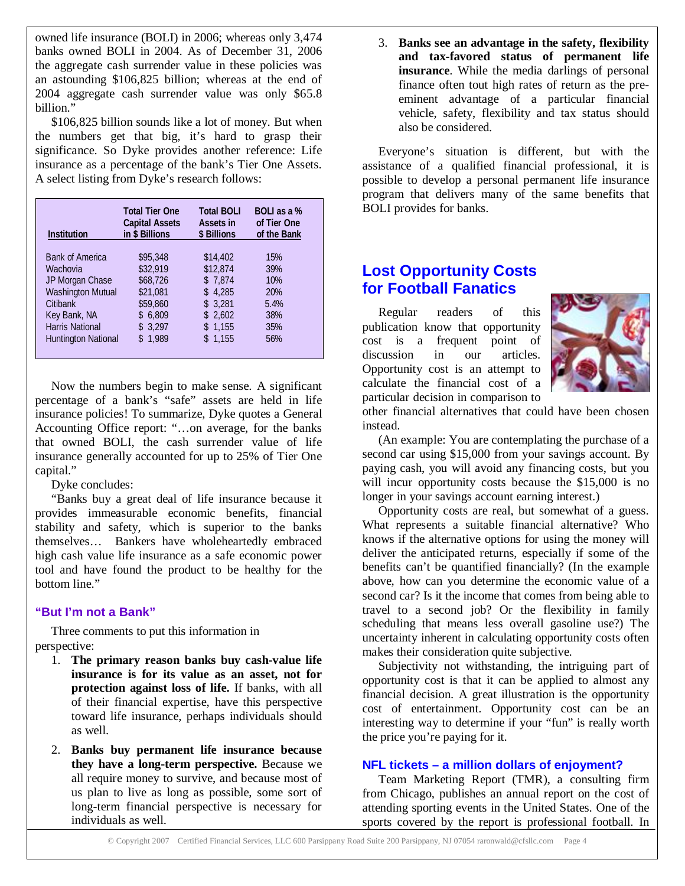owned life insurance (BOLI) in 2006; whereas only 3,474 banks owned BOLI in 2004. As of December 31, 2006 the aggregate cash surrender value in these policies was an astounding \$106,825 billion; whereas at the end of 2004 aggregate cash surrender value was only \$65.8 hillion"

\$106,825 billion sounds like a lot of money. But when the numbers get that big, it's hard to grasp their significance. So Dyke provides another reference: Life insurance as a percentage of the bank's Tier One Assets. A select listing from Dyke's research follows:

| <b>Institution</b>         | <b>Total Tier One</b><br><b>Capital Assets</b><br>in \$ Billions | <b>Total BOLI</b><br><b>Assets in</b><br>\$ Billions | <b>BOLL</b> as a %<br>of Tier One<br>of the Bank |
|----------------------------|------------------------------------------------------------------|------------------------------------------------------|--------------------------------------------------|
| <b>Bank of America</b>     | \$95,348                                                         | \$14,402                                             | 15%                                              |
| Wachovia                   | \$32,919                                                         | \$12,874                                             | 39%                                              |
| JP Morgan Chase            | \$68,726                                                         | \$7,874                                              | 10%                                              |
| <b>Washington Mutual</b>   | \$21,081                                                         | \$4.285                                              | 20%                                              |
| Citibank                   | \$59,860                                                         | \$3.281                                              | 5.4%                                             |
| Key Bank, NA               | \$6.809                                                          | \$2,602                                              | 38%                                              |
| <b>Harris National</b>     | \$3,297                                                          | \$1,155                                              | 35%                                              |
| <b>Huntington National</b> | \$1.989                                                          | \$1,155                                              | 56%                                              |

Now the numbers begin to make sense. A significant percentage of a bank's "safe" assets are held in life insurance policies! To summarize, Dyke quotes a General Accounting Office report: "…on average, for the banks that owned BOLI, the cash surrender value of life insurance generally accounted for up to 25% of Tier One capital."

Dyke concludes:

"Banks buy a great deal of life insurance because it provides immeasurable economic benefits, financial stability and safety, which is superior to the banks themselves… Bankers have wholeheartedly embraced high cash value life insurance as a safe economic power tool and have found the product to be healthy for the bottom line."

## **"But I'm not a Bank"**

Three comments to put this information in perspective:

- 1. **The primary reason banks buy cash-value life insurance is for its value as an asset, not for protection against loss of life.** If banks, with all of their financial expertise, have this perspective toward life insurance, perhaps individuals should as well.
- 2. **Banks buy permanent life insurance because they have a long-term perspective.** Because we all require money to survive, and because most of us plan to live as long as possible, some sort of long-term financial perspective is necessary for individuals as well.

3. **Banks see an advantage in the safety, flexibility and tax-favored status of permanent life insurance**. While the media darlings of personal finance often tout high rates of return as the preeminent advantage of a particular financial vehicle, safety, flexibility and tax status should also be considered.

Everyone's situation is different, but with the assistance of a qualified financial professional, it is possible to develop a personal permanent life insurance program that delivers many of the same benefits that BOLI provides for banks.

# **Lost Opportunity Costs for Football Fanatics**

Regular readers of this publication know that opportunity cost is a frequent point of discussion in our articles. Opportunity cost is an attempt to calculate the financial cost of a particular decision in comparison to



other financial alternatives that could have been chosen instead.

(An example: You are contemplating the purchase of a second car using \$15,000 from your savings account. By paying cash, you will avoid any financing costs, but you will incur opportunity costs because the \$15,000 is no longer in your savings account earning interest.)

Opportunity costs are real, but somewhat of a guess. What represents a suitable financial alternative? Who knows if the alternative options for using the money will deliver the anticipated returns, especially if some of the benefits can't be quantified financially? (In the example above, how can you determine the economic value of a second car? Is it the income that comes from being able to travel to a second job? Or the flexibility in family scheduling that means less overall gasoline use?) The uncertainty inherent in calculating opportunity costs often makes their consideration quite subjective.

Subjectivity not withstanding, the intriguing part of opportunity cost is that it can be applied to almost any financial decision. A great illustration is the opportunity cost of entertainment. Opportunity cost can be an interesting way to determine if your "fun" is really worth the price you're paying for it.

## **NFL tickets – a million dollars of enjoyment?**

Team Marketing Report (TMR), a consulting firm from Chicago, publishes an annual report on the cost of attending sporting events in the United States. One of the sports covered by the report is professional football. In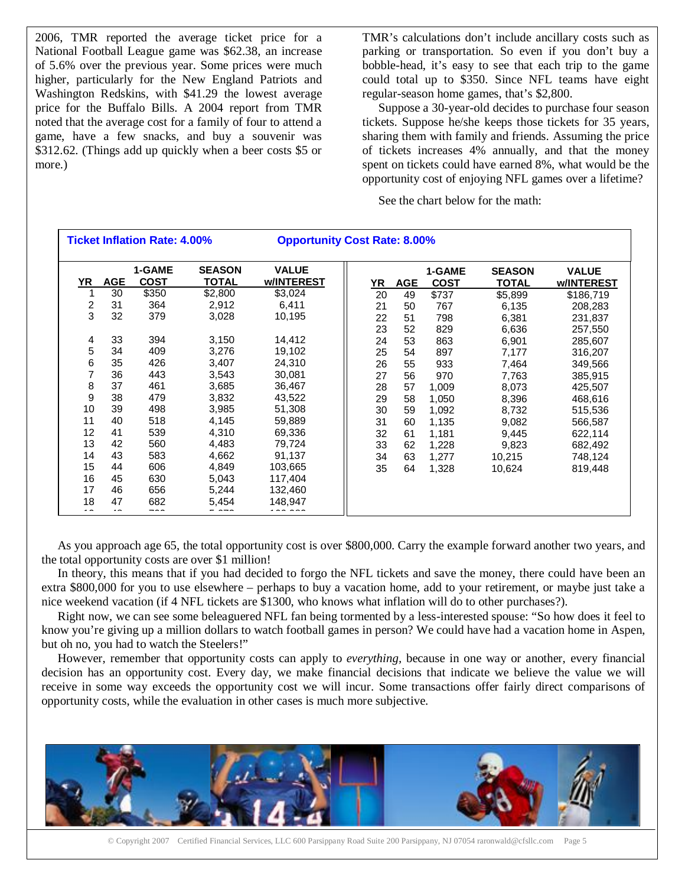2006, TMR reported the average ticket price for a National Football League game was \$62.38, an increase of 5.6% over the previous year. Some prices were much higher, particularly for the New England Patriots and Washington Redskins, with \$41.29 the lowest average price for the Buffalo Bills. A 2004 report from TMR noted that the average cost for a family of four to attend a game, have a few snacks, and buy a souvenir was \$312.62. (Things add up quickly when a beer costs \$5 or more.)

TMR's calculations don't include ancillary costs such as parking or transportation. So even if you don't buy a bobble-head, it's easy to see that each trip to the game could total up to \$350. Since NFL teams have eight regular-season home games, that's \$2,800.

Suppose a 30-year-old decides to purchase four season tickets. Suppose he/she keeps those tickets for 35 years, sharing them with family and friends. Assuming the price of tickets increases 4% annually, and that the money spent on tickets could have earned 8%, what would be the opportunity cost of enjoying NFL games over a lifetime?

See the chart below for the math:

| <b>Ticket Inflation Rate: 4.00%</b> |            |                       | <b>Opportunity Cost Rate: 8.00%</b> |                            |  |           |            |                       |                               |                            |
|-------------------------------------|------------|-----------------------|-------------------------------------|----------------------------|--|-----------|------------|-----------------------|-------------------------------|----------------------------|
| YR                                  | <b>AGE</b> | 1-GAME<br><b>COST</b> | <b>SEASON</b><br>TOTAL              | <b>VALUE</b><br>w/INTEREST |  | <u>YR</u> | <b>AGE</b> | 1-GAME<br><b>COST</b> | <b>SEASON</b><br><b>TOTAL</b> | <b>VALUE</b><br>w/INTEREST |
|                                     | 30         | \$350                 | \$2,800                             | \$3,024                    |  | 20        | 49         | \$737                 | \$5,899                       | \$186,719                  |
| $\overline{\mathbf{c}}$             | 31         | 364                   | 2,912                               | 6,411                      |  | 21        | 50         | 767                   | 6,135                         | 208,283                    |
| 3                                   | 32         | 379                   | 3,028                               | 10,195                     |  | 22        | 51         | 798                   | 6,381                         | 231,837                    |
|                                     |            |                       |                                     |                            |  | 23        | 52         | 829                   | 6,636                         | 257,550                    |
| 4                                   | 33         | 394                   | 3,150                               | 14,412                     |  | 24        | 53         | 863                   | 6,901                         | 285,607                    |
| 5                                   | 34         | 409                   | 3,276                               | 19,102                     |  | 25        | 54         | 897                   | 7,177                         | 316,207                    |
| 6                                   | 35         | 426                   | 3,407                               | 24,310                     |  | 26        | 55         | 933                   | 7,464                         | 349,566                    |
| 7                                   | 36         | 443                   | 3,543                               | 30,081                     |  | 27        | 56         | 970                   | 7,763                         | 385,915                    |
| 8                                   | 37         | 461                   | 3,685                               | 36,467                     |  | 28        | 57         | 1,009                 | 8,073                         | 425,507                    |
| 9                                   | 38         | 479                   | 3,832                               | 43,522                     |  | 29        | 58         | 1,050                 | 8,396                         | 468,616                    |
| 10                                  | 39         | 498                   | 3,985                               | 51,308                     |  | 30        | 59         | 1,092                 | 8,732                         | 515,536                    |
| 11                                  | 40         | 518                   | 4,145                               | 59,889                     |  | 31        | 60         | 1,135                 | 9,082                         | 566,587                    |
| 12                                  | 41         | 539                   | 4,310                               | 69,336                     |  | 32        | 61         | 1,181                 | 9,445                         | 622,114                    |
| 13                                  | 42         | 560                   | 4,483                               | 79,724                     |  | 33        | 62         | 1,228                 | 9,823                         | 682,492                    |
| 14                                  | 43         | 583                   | 4,662                               | 91,137                     |  | 34        | 63         | 1,277                 | 10,215                        | 748,124                    |
| 15                                  | 44         | 606                   | 4,849                               | 103,665                    |  | 35        | 64         | 1,328                 | 10,624                        | 819,448                    |
| 16                                  | 45         | 630                   | 5,043                               | 117,404                    |  |           |            |                       |                               |                            |
| 17                                  | 46         | 656                   | 5,244                               | 132,460                    |  |           |            |                       |                               |                            |
| 18<br>$\overline{\phantom{a}}$      | 47<br>. .  | 682<br>---            | 5,454                               | 148,947<br>.00000          |  |           |            |                       |                               |                            |

As you approach age 65, the total opportunity cost is over \$800,000. Carry the example forward another two years, and the total opportunity costs are over \$1 million!

In theory, this means that if you had decided to forgo the NFL tickets and save the money, there could have been an extra \$800,000 for you to use elsewhere – perhaps to buy a vacation home, add to your retirement, or maybe just take a nice weekend vacation (if 4 NFL tickets are \$1300, who knows what inflation will do to other purchases?).

Right now, we can see some beleaguered NFL fan being tormented by a less-interested spouse: "So how does it feel to know you're giving up a million dollars to watch football games in person? We could have had a vacation home in Aspen, but oh no, you had to watch the Steelers!"

However, remember that opportunity costs can apply to *everything,* because in one way or another, every financial decision has an opportunity cost. Every day, we make financial decisions that indicate we believe the value we will receive in some way exceeds the opportunity cost we will incur. Some transactions offer fairly direct comparisons of opportunity costs, while the evaluation in other cases is much more subjective.